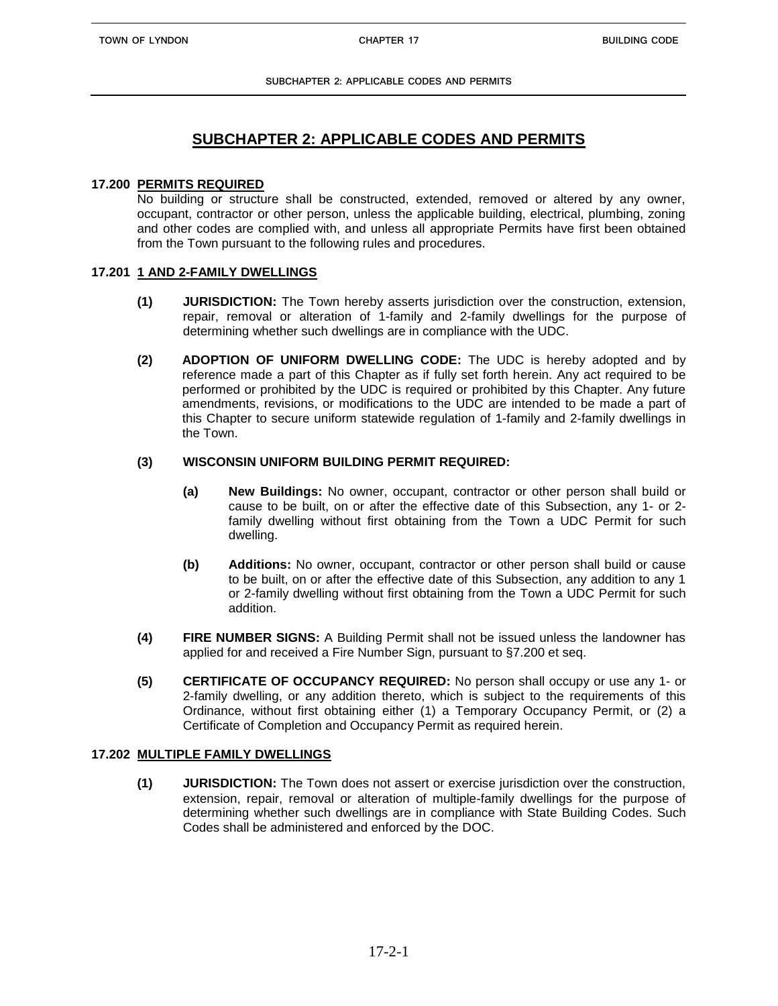**SUBCHAPTER 2: APPLICABLE CODES AND PERMITS**

# **SUBCHAPTER 2: APPLICABLE CODES AND PERMITS**

## **17.200 PERMITS REQUIRED**

No building or structure shall be constructed, extended, removed or altered by any owner, occupant, contractor or other person, unless the applicable building, electrical, plumbing, zoning and other codes are complied with, and unless all appropriate Permits have first been obtained from the Town pursuant to the following rules and procedures.

# **17.201 1 AND 2-FAMILY DWELLINGS**

- **(1) JURISDICTION:** The Town hereby asserts jurisdiction over the construction, extension, repair, removal or alteration of 1-family and 2-family dwellings for the purpose of determining whether such dwellings are in compliance with the UDC.
- **(2) ADOPTION OF UNIFORM DWELLING CODE:** The UDC is hereby adopted and by reference made a part of this Chapter as if fully set forth herein. Any act required to be performed or prohibited by the UDC is required or prohibited by this Chapter. Any future amendments, revisions, or modifications to the UDC are intended to be made a part of this Chapter to secure uniform statewide regulation of 1-family and 2-family dwellings in the Town.

# **(3) WISCONSIN UNIFORM BUILDING PERMIT REQUIRED:**

- **(a) New Buildings:** No owner, occupant, contractor or other person shall build or cause to be built, on or after the effective date of this Subsection, any 1- or 2 family dwelling without first obtaining from the Town a UDC Permit for such dwelling.
- **(b) Additions:** No owner, occupant, contractor or other person shall build or cause to be built, on or after the effective date of this Subsection, any addition to any 1 or 2-family dwelling without first obtaining from the Town a UDC Permit for such addition.
- **(4) FIRE NUMBER SIGNS:** A Building Permit shall not be issued unless the landowner has applied for and received a Fire Number Sign, pursuant to §7.200 et seq.
- **(5) CERTIFICATE OF OCCUPANCY REQUIRED:** No person shall occupy or use any 1- or 2-family dwelling, or any addition thereto, which is subject to the requirements of this Ordinance, without first obtaining either (1) a Temporary Occupancy Permit, or (2) a Certificate of Completion and Occupancy Permit as required herein.

# **17.202 MULTIPLE FAMILY DWELLINGS**

**(1) JURISDICTION:** The Town does not assert or exercise jurisdiction over the construction, extension, repair, removal or alteration of multiple-family dwellings for the purpose of determining whether such dwellings are in compliance with State Building Codes. Such Codes shall be administered and enforced by the DOC.